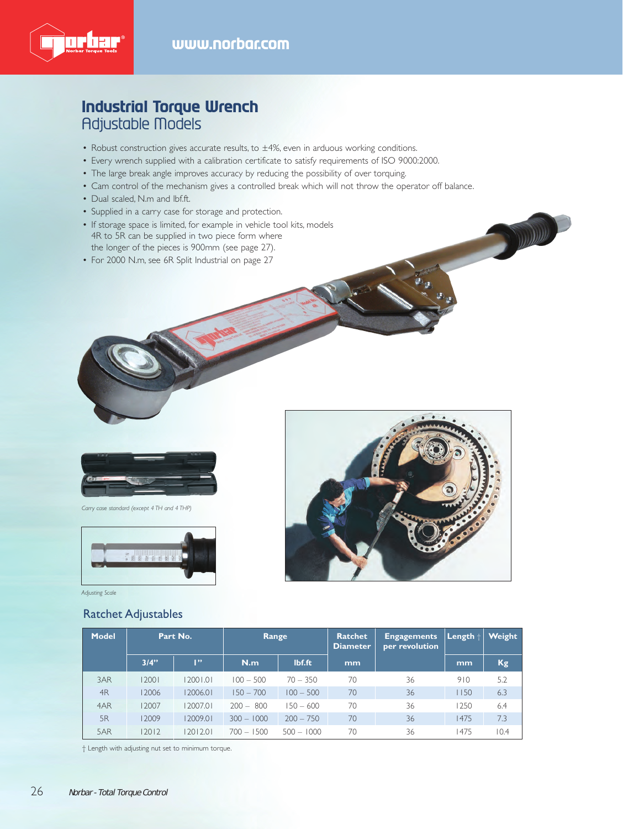

## **Industrial Torque Wrench** Adjustable Models

- Robust construction gives accurate results, to ±4%, even in arduous working conditions.
- Every wrench supplied with a calibration certificate to satisfy requirements of ISO 9000:2000.
- The large break angle improves accuracy by reducing the possibility of over torquing.
- Cam control of the mechanism gives a controlled break which will not throw the operator off balance.
- Dual scaled, N.m and lbf.ft.
- Supplied in a carry case for storage and protection.
- If storage space is limited, for example in vehicle tool kits, models 4R to 5R can be supplied in two piece form where the longer of the pieces is 900mm (see page 27).
- For 2000 N.m, see 6R Split Industrial on page 27



*Carry case standard (except 4 TH and 4 THP)*



*Adjusting Scale*

#### Ratchet Adjustables



**COMMAND** 

| <b>Model</b> | Part No. |              | Range        |              | Ratchet<br><b>Diameter</b> | <b>Engagements</b><br>per revolution | $\vert$ Length $\vert$ | Weight    |
|--------------|----------|--------------|--------------|--------------|----------------------------|--------------------------------------|------------------------|-----------|
|              | 3/4"     | $\mathbf{P}$ | N.m          | lbf.ft       | mm                         |                                      | mm                     | <b>Kg</b> |
| 3AR          | 12001    | 12001.01     | $100 - 500$  | $70 - 350$   | 70                         | 36                                   | 910                    | 5.2       |
| 4R           | 12006    | 12006.01     | $150 - 700$  | $100 - 500$  | 70                         | 36                                   | 1150                   | 6.3       |
| 4AR          | 12007    | 12007.01     | $200 - 800$  | $150 - 600$  | 70                         | 36                                   | 1250                   | 6.4       |
| 5R           | 12009    | 12009.01     | $300 - 1000$ | $200 - 750$  | 70                         | 36                                   | 1475                   | 7.3       |
| 5AR          | 2012     | 12012.01     | $700 - 1500$ | $500 - 1000$ | 70                         | 36                                   | 1475                   | 10.4      |

† Length with adjusting nut set to minimum torque.